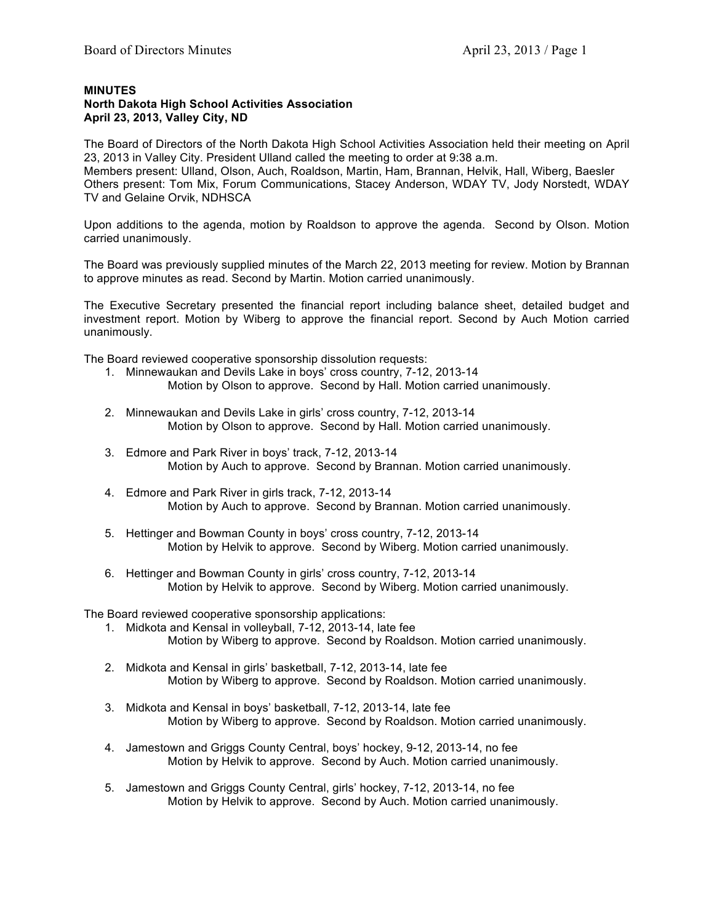## **MINUTES**

## **North Dakota High School Activities Association April 23, 2013, Valley City, ND**

The Board of Directors of the North Dakota High School Activities Association held their meeting on April 23, 2013 in Valley City. President Ulland called the meeting to order at 9:38 a.m.

Members present: Ulland, Olson, Auch, Roaldson, Martin, Ham, Brannan, Helvik, Hall, Wiberg, Baesler Others present: Tom Mix, Forum Communications, Stacey Anderson, WDAY TV, Jody Norstedt, WDAY TV and Gelaine Orvik, NDHSCA

Upon additions to the agenda, motion by Roaldson to approve the agenda. Second by Olson. Motion carried unanimously.

The Board was previously supplied minutes of the March 22, 2013 meeting for review. Motion by Brannan to approve minutes as read. Second by Martin. Motion carried unanimously.

The Executive Secretary presented the financial report including balance sheet, detailed budget and investment report. Motion by Wiberg to approve the financial report. Second by Auch Motion carried unanimously.

The Board reviewed cooperative sponsorship dissolution requests:

- 1. Minnewaukan and Devils Lake in boys' cross country, 7-12, 2013-14 Motion by Olson to approve. Second by Hall. Motion carried unanimously.
- 2. Minnewaukan and Devils Lake in girls' cross country, 7-12, 2013-14 Motion by Olson to approve. Second by Hall. Motion carried unanimously.
- 3. Edmore and Park River in boys' track, 7-12, 2013-14 Motion by Auch to approve. Second by Brannan. Motion carried unanimously.
- 4. Edmore and Park River in girls track, 7-12, 2013-14 Motion by Auch to approve. Second by Brannan. Motion carried unanimously.
- 5. Hettinger and Bowman County in boys' cross country, 7-12, 2013-14 Motion by Helvik to approve. Second by Wiberg. Motion carried unanimously.
- 6. Hettinger and Bowman County in girls' cross country, 7-12, 2013-14 Motion by Helvik to approve. Second by Wiberg. Motion carried unanimously.

The Board reviewed cooperative sponsorship applications:

- 1. Midkota and Kensal in volleyball, 7-12, 2013-14, late fee Motion by Wiberg to approve. Second by Roaldson. Motion carried unanimously.
- 2. Midkota and Kensal in girls' basketball, 7-12, 2013-14, late fee Motion by Wiberg to approve. Second by Roaldson. Motion carried unanimously.
- 3. Midkota and Kensal in boys' basketball, 7-12, 2013-14, late fee Motion by Wiberg to approve. Second by Roaldson. Motion carried unanimously.
- 4. Jamestown and Griggs County Central, boys' hockey, 9-12, 2013-14, no fee Motion by Helvik to approve. Second by Auch. Motion carried unanimously.
- 5. Jamestown and Griggs County Central, girls' hockey, 7-12, 2013-14, no fee Motion by Helvik to approve. Second by Auch. Motion carried unanimously.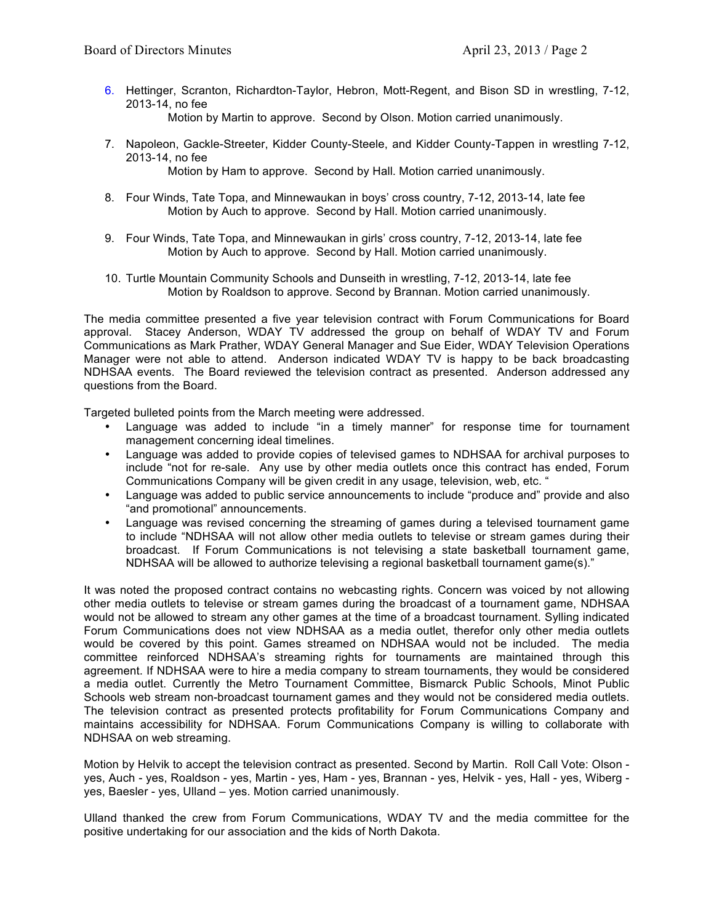6. Hettinger, Scranton, Richardton-Taylor, Hebron, Mott-Regent, and Bison SD in wrestling, 7-12, 2013-14, no fee

Motion by Martin to approve. Second by Olson. Motion carried unanimously.

7. Napoleon, Gackle-Streeter, Kidder County-Steele, and Kidder County-Tappen in wrestling 7-12, 2013-14, no fee

Motion by Ham to approve. Second by Hall. Motion carried unanimously.

- 8. Four Winds, Tate Topa, and Minnewaukan in boys' cross country, 7-12, 2013-14, late fee Motion by Auch to approve. Second by Hall. Motion carried unanimously.
- 9. Four Winds, Tate Topa, and Minnewaukan in girls' cross country, 7-12, 2013-14, late fee Motion by Auch to approve. Second by Hall. Motion carried unanimously.
- 10. Turtle Mountain Community Schools and Dunseith in wrestling, 7-12, 2013-14, late fee Motion by Roaldson to approve. Second by Brannan. Motion carried unanimously.

The media committee presented a five year television contract with Forum Communications for Board approval. Stacey Anderson, WDAY TV addressed the group on behalf of WDAY TV and Forum Communications as Mark Prather, WDAY General Manager and Sue Eider, WDAY Television Operations Manager were not able to attend. Anderson indicated WDAY TV is happy to be back broadcasting NDHSAA events. The Board reviewed the television contract as presented. Anderson addressed any questions from the Board.

Targeted bulleted points from the March meeting were addressed.

- Language was added to include "in a timely manner" for response time for tournament management concerning ideal timelines.
- Language was added to provide copies of televised games to NDHSAA for archival purposes to include "not for re-sale. Any use by other media outlets once this contract has ended, Forum Communications Company will be given credit in any usage, television, web, etc. "
- Language was added to public service announcements to include "produce and" provide and also "and promotional" announcements.
- Language was revised concerning the streaming of games during a televised tournament game to include "NDHSAA will not allow other media outlets to televise or stream games during their broadcast. If Forum Communications is not televising a state basketball tournament game, NDHSAA will be allowed to authorize televising a regional basketball tournament game(s)."

It was noted the proposed contract contains no webcasting rights. Concern was voiced by not allowing other media outlets to televise or stream games during the broadcast of a tournament game, NDHSAA would not be allowed to stream any other games at the time of a broadcast tournament. Sylling indicated Forum Communications does not view NDHSAA as a media outlet, therefor only other media outlets would be covered by this point. Games streamed on NDHSAA would not be included. The media committee reinforced NDHSAA's streaming rights for tournaments are maintained through this agreement. If NDHSAA were to hire a media company to stream tournaments, they would be considered a media outlet. Currently the Metro Tournament Committee, Bismarck Public Schools, Minot Public Schools web stream non-broadcast tournament games and they would not be considered media outlets. The television contract as presented protects profitability for Forum Communications Company and maintains accessibility for NDHSAA. Forum Communications Company is willing to collaborate with NDHSAA on web streaming.

Motion by Helvik to accept the television contract as presented. Second by Martin. Roll Call Vote: Olson yes, Auch - yes, Roaldson - yes, Martin - yes, Ham - yes, Brannan - yes, Helvik - yes, Hall - yes, Wiberg yes, Baesler - yes, Ulland – yes. Motion carried unanimously.

Ulland thanked the crew from Forum Communications, WDAY TV and the media committee for the positive undertaking for our association and the kids of North Dakota.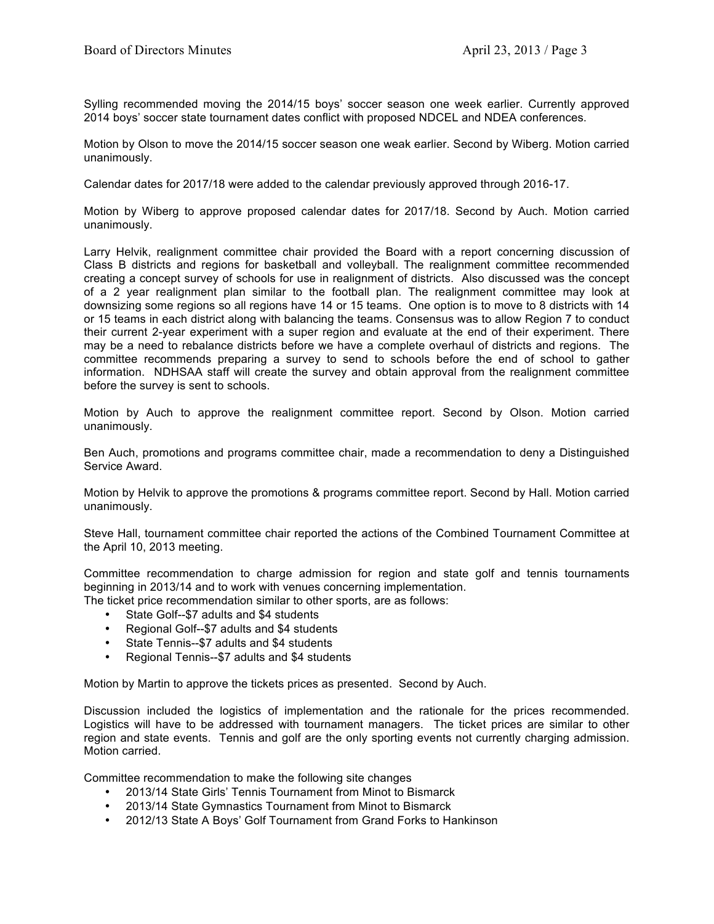Sylling recommended moving the 2014/15 boys' soccer season one week earlier. Currently approved 2014 boys' soccer state tournament dates conflict with proposed NDCEL and NDEA conferences.

Motion by Olson to move the 2014/15 soccer season one weak earlier. Second by Wiberg. Motion carried unanimously.

Calendar dates for 2017/18 were added to the calendar previously approved through 2016-17.

Motion by Wiberg to approve proposed calendar dates for 2017/18. Second by Auch. Motion carried unanimously.

Larry Helvik, realignment committee chair provided the Board with a report concerning discussion of Class B districts and regions for basketball and volleyball. The realignment committee recommended creating a concept survey of schools for use in realignment of districts. Also discussed was the concept of a 2 year realignment plan similar to the football plan. The realignment committee may look at downsizing some regions so all regions have 14 or 15 teams. One option is to move to 8 districts with 14 or 15 teams in each district along with balancing the teams. Consensus was to allow Region 7 to conduct their current 2-year experiment with a super region and evaluate at the end of their experiment. There may be a need to rebalance districts before we have a complete overhaul of districts and regions. The committee recommends preparing a survey to send to schools before the end of school to gather information. NDHSAA staff will create the survey and obtain approval from the realignment committee before the survey is sent to schools.

Motion by Auch to approve the realignment committee report. Second by Olson. Motion carried unanimously.

Ben Auch, promotions and programs committee chair, made a recommendation to deny a Distinguished Service Award.

Motion by Helvik to approve the promotions & programs committee report. Second by Hall. Motion carried unanimously.

Steve Hall, tournament committee chair reported the actions of the Combined Tournament Committee at the April 10, 2013 meeting.

Committee recommendation to charge admission for region and state golf and tennis tournaments beginning in 2013/14 and to work with venues concerning implementation.

The ticket price recommendation similar to other sports, are as follows:

- State Golf--\$7 adults and \$4 students
- Regional Golf--\$7 adults and \$4 students
- State Tennis--\$7 adults and \$4 students
- Regional Tennis--\$7 adults and \$4 students

Motion by Martin to approve the tickets prices as presented. Second by Auch.

Discussion included the logistics of implementation and the rationale for the prices recommended. Logistics will have to be addressed with tournament managers. The ticket prices are similar to other region and state events. Tennis and golf are the only sporting events not currently charging admission. Motion carried.

Committee recommendation to make the following site changes

- 2013/14 State Girls' Tennis Tournament from Minot to Bismarck
- 2013/14 State Gymnastics Tournament from Minot to Bismarck
- 2012/13 State A Boys' Golf Tournament from Grand Forks to Hankinson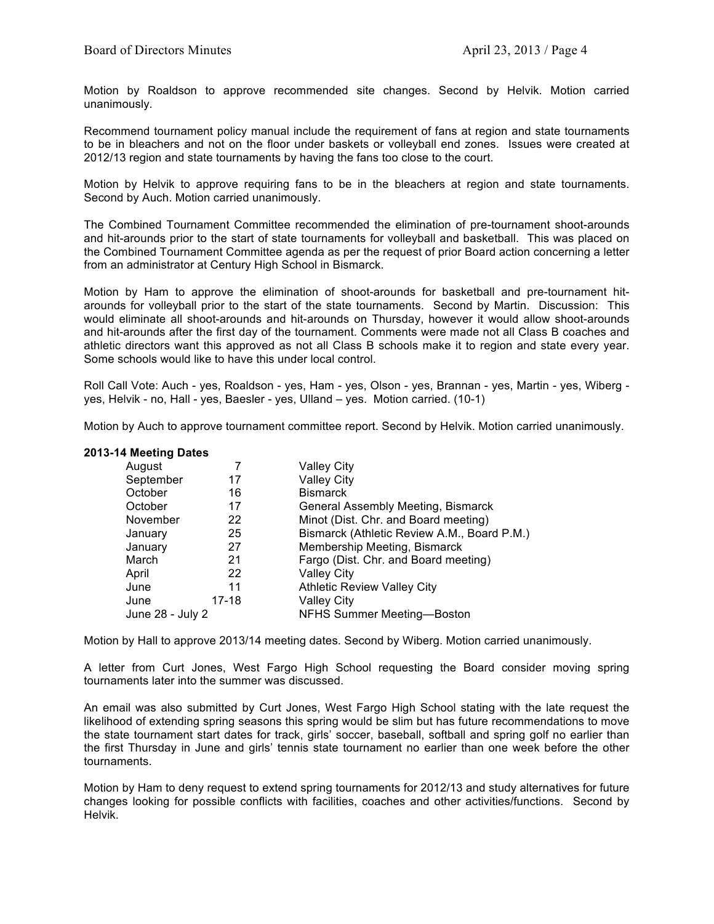Motion by Roaldson to approve recommended site changes. Second by Helvik. Motion carried unanimously.

Recommend tournament policy manual include the requirement of fans at region and state tournaments to be in bleachers and not on the floor under baskets or volleyball end zones. Issues were created at 2012/13 region and state tournaments by having the fans too close to the court.

Motion by Helvik to approve requiring fans to be in the bleachers at region and state tournaments. Second by Auch. Motion carried unanimously.

The Combined Tournament Committee recommended the elimination of pre-tournament shoot-arounds and hit-arounds prior to the start of state tournaments for volleyball and basketball. This was placed on the Combined Tournament Committee agenda as per the request of prior Board action concerning a letter from an administrator at Century High School in Bismarck.

Motion by Ham to approve the elimination of shoot-arounds for basketball and pre-tournament hitarounds for volleyball prior to the start of the state tournaments. Second by Martin. Discussion: This would eliminate all shoot-arounds and hit-arounds on Thursday, however it would allow shoot-arounds and hit-arounds after the first day of the tournament. Comments were made not all Class B coaches and athletic directors want this approved as not all Class B schools make it to region and state every year. Some schools would like to have this under local control.

Roll Call Vote: Auch - yes, Roaldson - yes, Ham - yes, Olson - yes, Brannan - yes, Martin - yes, Wiberg yes, Helvik - no, Hall - yes, Baesler - yes, Ulland – yes. Motion carried. (10-1)

Motion by Auch to approve tournament committee report. Second by Helvik. Motion carried unanimously.

## **2013-14 Meeting Dates**

| August           |           | <b>Valley City</b>                          |  |  |
|------------------|-----------|---------------------------------------------|--|--|
| September        | 17        | <b>Valley City</b>                          |  |  |
| October          | 16        | <b>Bismarck</b>                             |  |  |
| October          | 17        | General Assembly Meeting, Bismarck          |  |  |
| November         | 22        | Minot (Dist. Chr. and Board meeting)        |  |  |
| January          | 25        | Bismarck (Athletic Review A.M., Board P.M.) |  |  |
| January          | 27        | Membership Meeting, Bismarck                |  |  |
| March            | 21        | Fargo (Dist. Chr. and Board meeting)        |  |  |
| April            | 22        | Valley City                                 |  |  |
| June             | 11        | <b>Athletic Review Valley City</b>          |  |  |
| June             | $17 - 18$ | Valley City                                 |  |  |
| June 28 - July 2 |           | NFHS Summer Meeting-Boston                  |  |  |

Motion by Hall to approve 2013/14 meeting dates. Second by Wiberg. Motion carried unanimously.

A letter from Curt Jones, West Fargo High School requesting the Board consider moving spring tournaments later into the summer was discussed.

An email was also submitted by Curt Jones, West Fargo High School stating with the late request the likelihood of extending spring seasons this spring would be slim but has future recommendations to move the state tournament start dates for track, girls' soccer, baseball, softball and spring golf no earlier than the first Thursday in June and girls' tennis state tournament no earlier than one week before the other tournaments.

Motion by Ham to deny request to extend spring tournaments for 2012/13 and study alternatives for future changes looking for possible conflicts with facilities, coaches and other activities/functions. Second by Helvik.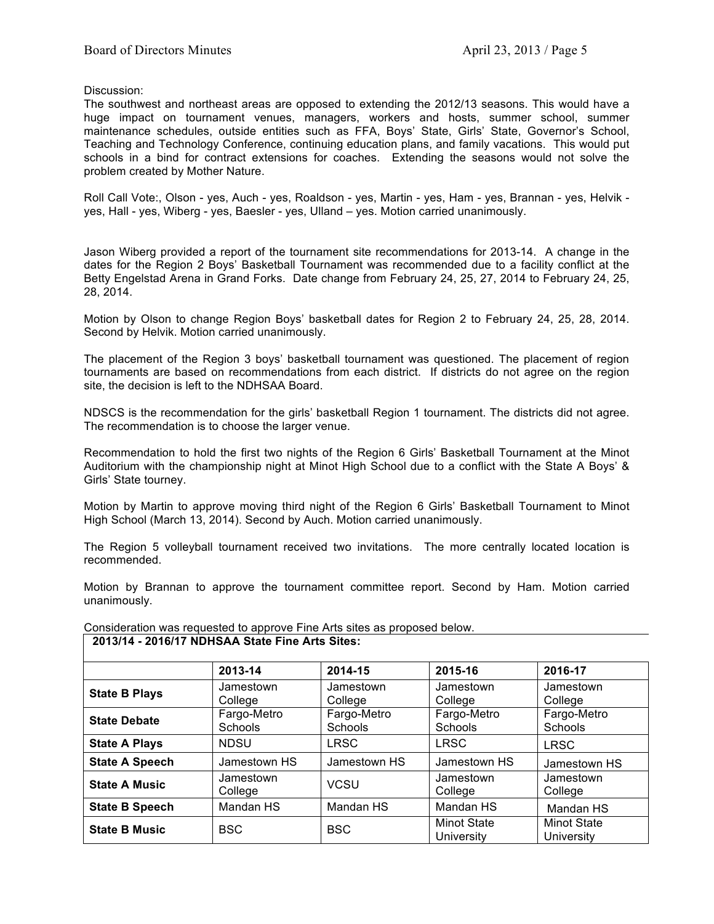Discussion:

The southwest and northeast areas are opposed to extending the 2012/13 seasons. This would have a huge impact on tournament venues, managers, workers and hosts, summer school, summer maintenance schedules, outside entities such as FFA, Boys' State, Girls' State, Governor's School, Teaching and Technology Conference, continuing education plans, and family vacations. This would put schools in a bind for contract extensions for coaches. Extending the seasons would not solve the problem created by Mother Nature.

Roll Call Vote:, Olson - yes, Auch - yes, Roaldson - yes, Martin - yes, Ham - yes, Brannan - yes, Helvik yes, Hall - yes, Wiberg - yes, Baesler - yes, Ulland – yes. Motion carried unanimously.

Jason Wiberg provided a report of the tournament site recommendations for 2013-14. A change in the dates for the Region 2 Boys' Basketball Tournament was recommended due to a facility conflict at the Betty Engelstad Arena in Grand Forks. Date change from February 24, 25, 27, 2014 to February 24, 25, 28, 2014.

Motion by Olson to change Region Boys' basketball dates for Region 2 to February 24, 25, 28, 2014. Second by Helvik. Motion carried unanimously.

The placement of the Region 3 boys' basketball tournament was questioned. The placement of region tournaments are based on recommendations from each district. If districts do not agree on the region site, the decision is left to the NDHSAA Board.

NDSCS is the recommendation for the girls' basketball Region 1 tournament. The districts did not agree. The recommendation is to choose the larger venue.

Recommendation to hold the first two nights of the Region 6 Girls' Basketball Tournament at the Minot Auditorium with the championship night at Minot High School due to a conflict with the State A Boys' & Girls' State tourney.

Motion by Martin to approve moving third night of the Region 6 Girls' Basketball Tournament to Minot High School (March 13, 2014). Second by Auch. Motion carried unanimously.

The Region 5 volleyball tournament received two invitations. The more centrally located location is recommended.

Motion by Brannan to approve the tournament committee report. Second by Ham. Motion carried unanimously.

|                       | 2013-14                | 2014-15                | 2015-16                          | 2016-17                          |
|-----------------------|------------------------|------------------------|----------------------------------|----------------------------------|
| <b>State B Plays</b>  | Jamestown<br>College   | Jamestown<br>College   | Jamestown<br>College             | Jamestown<br>College             |
| <b>State Debate</b>   | Fargo-Metro<br>Schools | Fargo-Metro<br>Schools | Fargo-Metro<br>Schools           | Fargo-Metro<br>Schools           |
| <b>State A Plays</b>  | <b>NDSU</b>            | <b>LRSC</b>            | <b>LRSC</b>                      | <b>LRSC</b>                      |
| <b>State A Speech</b> | Jamestown HS           | Jamestown HS           | Jamestown HS                     | Jamestown HS                     |
| <b>State A Music</b>  | Jamestown<br>College   | <b>VCSU</b>            | Jamestown<br>College             | Jamestown<br>College             |
| <b>State B Speech</b> | Mandan HS              | Mandan HS              | Mandan HS                        | Mandan HS                        |
| <b>State B Music</b>  | <b>BSC</b>             | <b>BSC</b>             | <b>Minot State</b><br>University | <b>Minot State</b><br>University |

Consideration was requested to approve Fine Arts sites as proposed below. **2013/14 - 2016/17 NDHSAA State Fine Arts Sites:**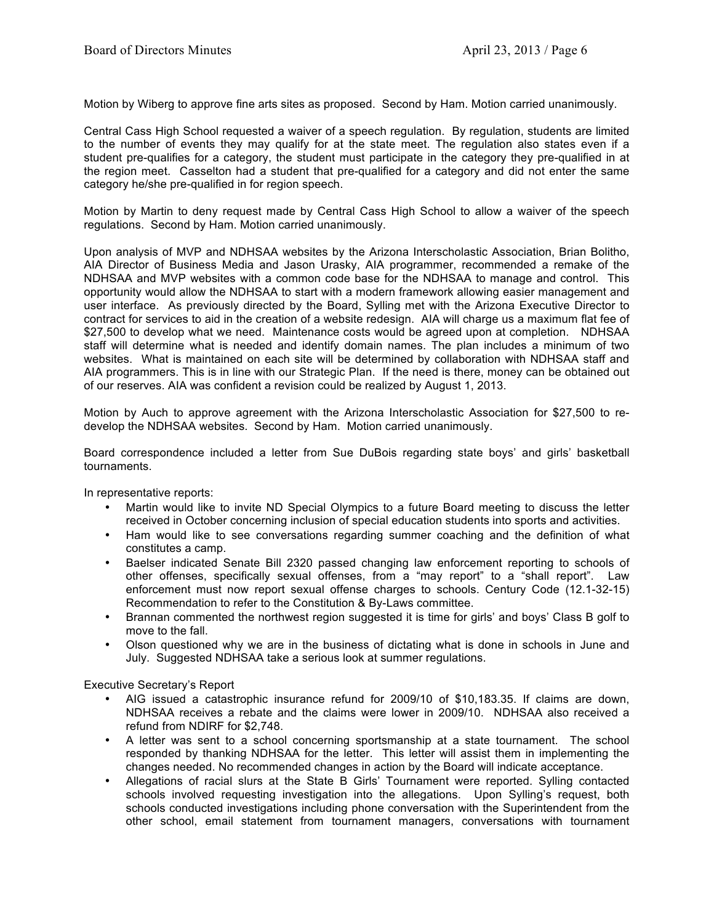Motion by Wiberg to approve fine arts sites as proposed. Second by Ham. Motion carried unanimously.

Central Cass High School requested a waiver of a speech regulation. By regulation, students are limited to the number of events they may qualify for at the state meet. The regulation also states even if a student pre-qualifies for a category, the student must participate in the category they pre-qualified in at the region meet. Casselton had a student that pre-qualified for a category and did not enter the same category he/she pre-qualified in for region speech.

Motion by Martin to deny request made by Central Cass High School to allow a waiver of the speech regulations. Second by Ham. Motion carried unanimously.

Upon analysis of MVP and NDHSAA websites by the Arizona Interscholastic Association, Brian Bolitho, AIA Director of Business Media and Jason Urasky, AIA programmer, recommended a remake of the NDHSAA and MVP websites with a common code base for the NDHSAA to manage and control. This opportunity would allow the NDHSAA to start with a modern framework allowing easier management and user interface. As previously directed by the Board, Sylling met with the Arizona Executive Director to contract for services to aid in the creation of a website redesign. AIA will charge us a maximum flat fee of \$27,500 to develop what we need. Maintenance costs would be agreed upon at completion. NDHSAA staff will determine what is needed and identify domain names. The plan includes a minimum of two websites. What is maintained on each site will be determined by collaboration with NDHSAA staff and AIA programmers. This is in line with our Strategic Plan. If the need is there, money can be obtained out of our reserves. AIA was confident a revision could be realized by August 1, 2013.

Motion by Auch to approve agreement with the Arizona Interscholastic Association for \$27,500 to redevelop the NDHSAA websites. Second by Ham. Motion carried unanimously.

Board correspondence included a letter from Sue DuBois regarding state boys' and girls' basketball tournaments.

In representative reports:

- Martin would like to invite ND Special Olympics to a future Board meeting to discuss the letter received in October concerning inclusion of special education students into sports and activities.
- Ham would like to see conversations regarding summer coaching and the definition of what constitutes a camp.
- Baelser indicated Senate Bill 2320 passed changing law enforcement reporting to schools of other offenses, specifically sexual offenses, from a "may report" to a "shall report". Law enforcement must now report sexual offense charges to schools. Century Code (12.1-32-15) Recommendation to refer to the Constitution & By-Laws committee.
- Brannan commented the northwest region suggested it is time for girls' and boys' Class B golf to move to the fall.
- Olson questioned why we are in the business of dictating what is done in schools in June and July. Suggested NDHSAA take a serious look at summer regulations.

Executive Secretary's Report

- AIG issued a catastrophic insurance refund for 2009/10 of \$10,183.35. If claims are down, NDHSAA receives a rebate and the claims were lower in 2009/10. NDHSAA also received a refund from NDIRF for \$2,748.
- A letter was sent to a school concerning sportsmanship at a state tournament. The school responded by thanking NDHSAA for the letter. This letter will assist them in implementing the changes needed. No recommended changes in action by the Board will indicate acceptance.
- Allegations of racial slurs at the State B Girls' Tournament were reported. Sylling contacted schools involved requesting investigation into the allegations. Upon Sylling's request, both schools conducted investigations including phone conversation with the Superintendent from the other school, email statement from tournament managers, conversations with tournament